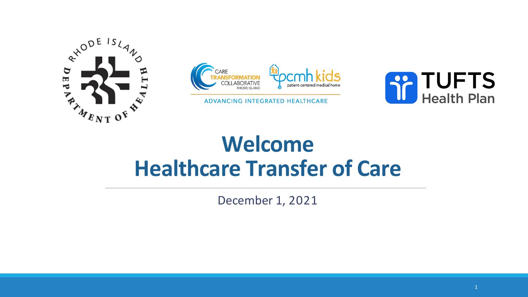



ADVANCING INTEGRATED HEALTHCARE



# **Welcome Healthcare Transfer of Care**

December 1, 2021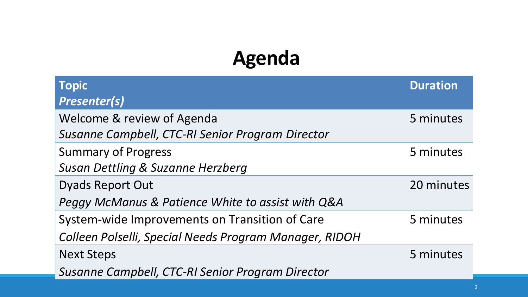## **Agenda**

| <b>Topic</b>                                           | <b>Duration</b> |
|--------------------------------------------------------|-----------------|
| <b>Presenter(s)</b>                                    |                 |
| Welcome & review of Agenda                             | 5 minutes       |
| Susanne Campbell, CTC-RI Senior Program Director       |                 |
| <b>Summary of Progress</b>                             | 5 minutes       |
| Susan Dettling & Suzanne Herzberg                      |                 |
| <b>Dyads Report Out</b>                                | 20 minutes      |
| Peggy McManus & Patience White to assist with Q&A      |                 |
| System-wide Improvements on Transition of Care         | 5 minutes       |
| Colleen Polselli, Special Needs Program Manager, RIDOH |                 |
| <b>Next Steps</b>                                      | 5 minutes       |
| Susanne Campbell, CTC-RI Senior Program Director       |                 |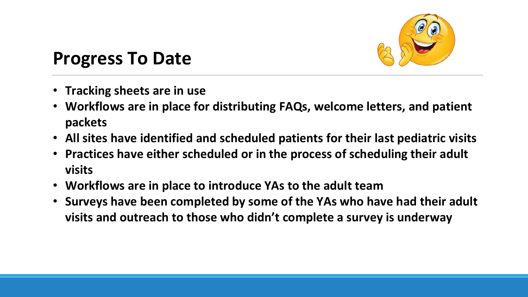

## **Progress To Date**

- **Tracking sheets are in use**
- **Workflows are in place for distributing FAQs, welcome letters, and patient packets**
- **All sites have identified and scheduled patients for their last pediatric visits**
- **Practices have either scheduled or in the process of scheduling their adult visits**
- **Workflows are in place to introduce YAs to the adult team**
- **Surveys have been completed by some of the YAs who have had their adult visits and outreach to those who didn't complete a survey is underway**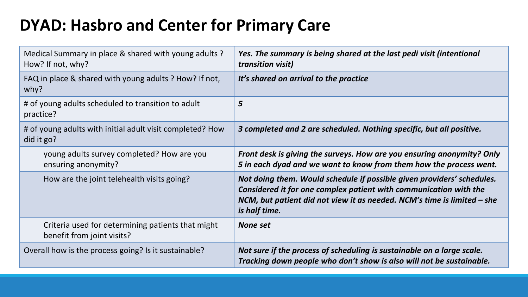## **DYAD: Hasbro and Center for Primary Care**

| Medical Summary in place & shared with young adults?<br>How? If not, why?       | Yes. The summary is being shared at the last pedi visit (intentional<br>transition visit)                                                                                                                                               |
|---------------------------------------------------------------------------------|-----------------------------------------------------------------------------------------------------------------------------------------------------------------------------------------------------------------------------------------|
| FAQ in place & shared with young adults ? How? If not,<br>why?                  | It's shared on arrival to the practice                                                                                                                                                                                                  |
| # of young adults scheduled to transition to adult<br>practice?                 | 5                                                                                                                                                                                                                                       |
| # of young adults with initial adult visit completed? How<br>did it go?         | 3 completed and 2 are scheduled. Nothing specific, but all positive.                                                                                                                                                                    |
| young adults survey completed? How are you<br>ensuring anonymity?               | Front desk is giving the surveys. How are you ensuring anonymity? Only<br>5 in each dyad and we want to know from them how the process went.                                                                                            |
| How are the joint telehealth visits going?                                      | Not doing them. Would schedule if possible given providers' schedules.<br>Considered it for one complex patient with communication with the<br>NCM, but patient did not view it as needed. NCM's time is limited - she<br>is half time. |
| Criteria used for determining patients that might<br>benefit from joint visits? | None set                                                                                                                                                                                                                                |
| Overall how is the process going? Is it sustainable?                            | Not sure if the process of scheduling is sustainable on a large scale.<br>Tracking down people who don't show is also will not be sustainable.                                                                                          |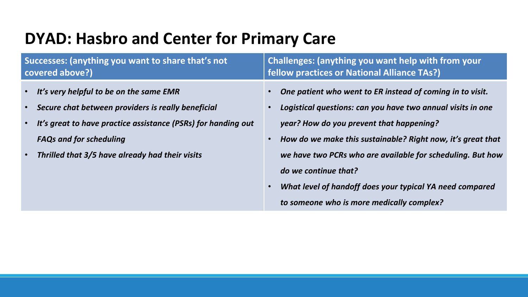## **DYAD: Hasbro and Center for Primary Care**

| Successes: (anything you want to share that's not             | Challenges: (anything you want help with from your          |
|---------------------------------------------------------------|-------------------------------------------------------------|
| covered above?)                                               | fellow practices or National Alliance TAs?)                 |
| It's very helpful to be on the same EMR                       | One patient who went to ER instead of coming in to visit.   |
| Secure chat between providers is really beneficial            | Logistical questions: can you have two annual visits in one |
| $\bullet$                                                     | year? How do you prevent that happening?                    |
| It's great to have practice assistance (PSRs) for handing out | How do we make this sustainable? Right now, it's great that |
| $\bullet$                                                     | we have two PCRs who are available for scheduling. But how  |
| <b>FAQs and for scheduling</b>                                | do we continue that?                                        |
| Thrilled that 3/5 have already had their visits               | What level of handoff does your typical YA need compared    |
| $\bullet$                                                     | to someone who is more medically complex?                   |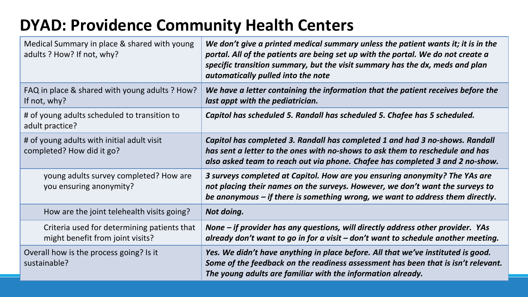## **DYAD: Providence Community Health Centers**

| Medical Summary in place & shared with young<br>adults ? How? If not, why?      | We don't give a printed medical summary unless the patient wants it; it is in the<br>portal. All of the patients are being set up with the portal. We do not create a<br>specific transition summary, but the visit summary has the dx, meds and plan<br>automatically pulled into the note |
|---------------------------------------------------------------------------------|---------------------------------------------------------------------------------------------------------------------------------------------------------------------------------------------------------------------------------------------------------------------------------------------|
| FAQ in place & shared with young adults ? How?<br>If not, why?                  | We have a letter containing the information that the patient receives before the<br>last appt with the pediatrician.                                                                                                                                                                        |
| # of young adults scheduled to transition to<br>adult practice?                 | Capitol has scheduled 5. Randall has scheduled 5. Chafee has 5 scheduled.                                                                                                                                                                                                                   |
| # of young adults with initial adult visit<br>completed? How did it go?         | Capitol has completed 3. Randall has completed 1 and had 3 no-shows. Randall<br>has sent a letter to the ones with no-shows to ask them to reschedule and has<br>also asked team to reach out via phone. Chafee has completed 3 and 2 no-show.                                              |
| young adults survey completed? How are<br>you ensuring anonymity?               | 3 surveys completed at Capitol. How are you ensuring anonymity? The YAs are<br>not placing their names on the surveys. However, we don't want the surveys to<br>be anonymous $-$ if there is something wrong, we want to address them directly.                                             |
| How are the joint telehealth visits going?                                      | Not doing.                                                                                                                                                                                                                                                                                  |
| Criteria used for determining patients that<br>might benefit from joint visits? | None – if provider has any questions, will directly address other provider. YAs<br>already don't want to go in for a visit $-$ don't want to schedule another meeting.                                                                                                                      |
| Overall how is the process going? Is it<br>sustainable?                         | Yes. We didn't have anything in place before. All that we've instituted is good.<br>Some of the feedback on the readiness assessment has been that is isn't relevant.<br>The young adults are familiar with the information already.                                                        |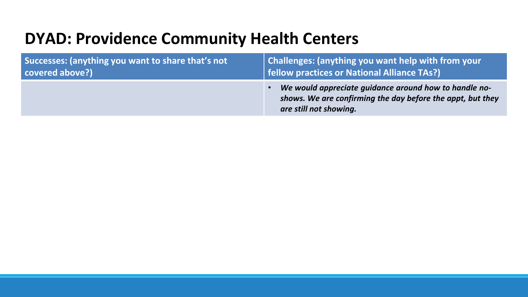### **DYAD: Providence Community Health Centers**

| Successes: (anything you want to share that's not | Challenges: (anything you want help with from your                                                                                            |
|---------------------------------------------------|-----------------------------------------------------------------------------------------------------------------------------------------------|
| covered above?)                                   | <b>fellow practices or National Alliance TAs?)</b>                                                                                            |
|                                                   | We would appreciate guidance around how to handle no-<br>shows. We are confirming the day before the appt, but they<br>are still not showing. |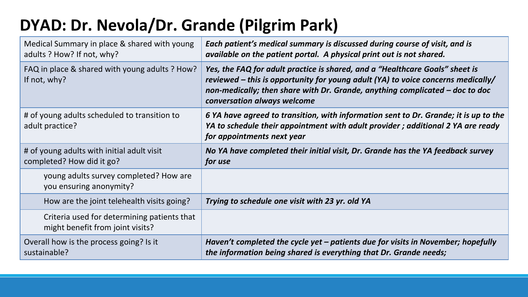## **DYAD: Dr. Nevola/Dr. Grande (Pilgrim Park)**

| Medical Summary in place & shared with young<br>adults ? How? If not, why?      | Each patient's medical summary is discussed during course of visit, and is<br>available on the patient portal. A physical print out is not shared.                                                                                                                                |
|---------------------------------------------------------------------------------|-----------------------------------------------------------------------------------------------------------------------------------------------------------------------------------------------------------------------------------------------------------------------------------|
| FAQ in place & shared with young adults ? How?<br>If not, why?                  | Yes, the FAQ for adult practice is shared, and a "Healthcare Goals" sheet is<br>reviewed $-$ this is opportunity for young adult (YA) to voice concerns medically/<br>non-medically; then share with Dr. Grande, anything complicated – doc to doc<br>conversation always welcome |
| # of young adults scheduled to transition to<br>adult practice?                 | 6 YA have agreed to transition, with information sent to Dr. Grande; it is up to the<br>YA to schedule their appointment with adult provider; additional 2 YA are ready<br>for appointments next year                                                                             |
| # of young adults with initial adult visit<br>completed? How did it go?         | No YA have completed their initial visit, Dr. Grande has the YA feedback survey<br>for use                                                                                                                                                                                        |
| young adults survey completed? How are<br>you ensuring anonymity?               |                                                                                                                                                                                                                                                                                   |
| How are the joint telehealth visits going?                                      | Trying to schedule one visit with 23 yr. old YA                                                                                                                                                                                                                                   |
| Criteria used for determining patients that<br>might benefit from joint visits? |                                                                                                                                                                                                                                                                                   |
| Overall how is the process going? Is it<br>sustainable?                         | Haven't completed the cycle yet $-$ patients due for visits in November; hopefully<br>the information being shared is everything that Dr. Grande needs;                                                                                                                           |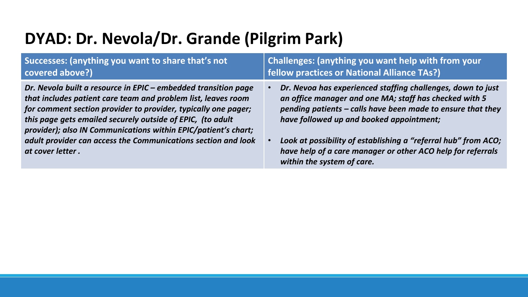### **DYAD: Dr. Nevola/Dr. Grande (Pilgrim Park)**

| Successes: (anything you want to share that's not<br>covered above?)                                                                                                                                                                                                                                                              | Challenges: (anything you want help with from your<br>fellow practices or National Alliance TAs?)                                                                                                                                |
|-----------------------------------------------------------------------------------------------------------------------------------------------------------------------------------------------------------------------------------------------------------------------------------------------------------------------------------|----------------------------------------------------------------------------------------------------------------------------------------------------------------------------------------------------------------------------------|
| Dr. Nevola built a resource in EPIC – embedded transition page<br>that includes patient care team and problem list, leaves room<br>for comment section provider to provider, typically one pager;<br>this page gets emailed securely outside of EPIC, (to adult<br>provider); also IN Communications within EPIC/patient's chart; | Dr. Nevoa has experienced staffing challenges, down to just<br>an office manager and one MA; staff has checked with 5<br>pending patients - calls have been made to ensure that they<br>have followed up and booked appointment; |
| adult provider can access the Communications section and look<br>at cover letter.                                                                                                                                                                                                                                                 | Look at possibility of establishing a "referral hub" from ACO;<br>$\bullet$<br>have help of a care manager or other ACO help for referrals<br>within the system of care.                                                         |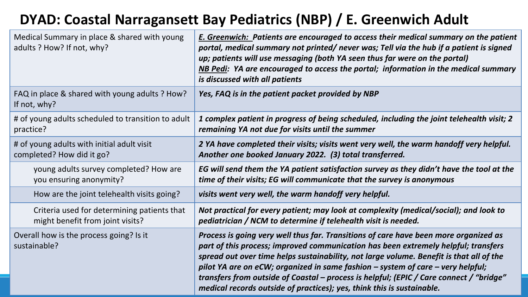### **DYAD: Coastal Narragansett Bay Pediatrics (NBP) / E. Greenwich Adult**

| Medical Summary in place & shared with young<br>adults ? How? If not, why? | <b>E. Greenwich: Patients are encouraged to access their medical summary on the patient</b><br>portal, medical summary not printed/never was; Tell via the hub if a patient is signed<br>up; patients will use messaging (both YA seen thus far were on the portal)<br>NB Pedi: YA are encouraged to access the portal; information in the medical summary<br>is discussed with all patients                                                                                                                                  |
|----------------------------------------------------------------------------|-------------------------------------------------------------------------------------------------------------------------------------------------------------------------------------------------------------------------------------------------------------------------------------------------------------------------------------------------------------------------------------------------------------------------------------------------------------------------------------------------------------------------------|
| FAQ in place & shared with young adults ? How?<br>If not, why?             | Yes, FAQ is in the patient packet provided by NBP                                                                                                                                                                                                                                                                                                                                                                                                                                                                             |
| # of young adults scheduled to transition to adult                         | 1 complex patient in progress of being scheduled, including the joint telehealth visit; 2                                                                                                                                                                                                                                                                                                                                                                                                                                     |
| practice?                                                                  | remaining YA not due for visits until the summer                                                                                                                                                                                                                                                                                                                                                                                                                                                                              |
| # of young adults with initial adult visit                                 | 2 YA have completed their visits; visits went very well, the warm handoff very helpful.                                                                                                                                                                                                                                                                                                                                                                                                                                       |
| completed? How did it go?                                                  | Another one booked January 2022. (3) total transferred.                                                                                                                                                                                                                                                                                                                                                                                                                                                                       |
| young adults survey completed? How are                                     | EG will send them the YA patient satisfaction survey as they didn't have the tool at the                                                                                                                                                                                                                                                                                                                                                                                                                                      |
| you ensuring anonymity?                                                    | time of their visits; EG will communicate that the survey is anonymous                                                                                                                                                                                                                                                                                                                                                                                                                                                        |
| How are the joint telehealth visits going?                                 | visits went very well, the warm handoff very helpful.                                                                                                                                                                                                                                                                                                                                                                                                                                                                         |
| Criteria used for determining patients that                                | Not practical for every patient; may look at complexity (medical/social); and look to                                                                                                                                                                                                                                                                                                                                                                                                                                         |
| might benefit from joint visits?                                           | pediatrician / NCM to determine if telehealth visit is needed.                                                                                                                                                                                                                                                                                                                                                                                                                                                                |
| Overall how is the process going? Is it<br>sustainable?                    | Process is going very well thus far. Transitions of care have been more organized as<br>part of this process; improved communication has been extremely helpful; transfers<br>spread out over time helps sustainability, not large volume. Benefit is that all of the<br>pilot YA are on eCW; organized in same fashion – system of care – very helpful;<br>transfers from outside of Coastal – process is helpful; (EPIC / Care connect / "bridge"<br>medical records outside of practices); yes, think this is sustainable. |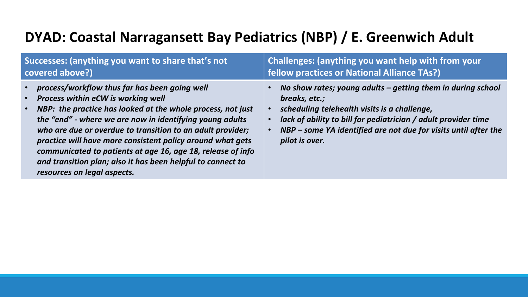#### **DYAD: Coastal Narragansett Bay Pediatrics (NBP) / E. Greenwich Adult**

| Successes: (anything you want to share that's not                                                                                                                                                                                                                                                                                                                                                                                                                                                                                 | Challenges: (anything you want help with from your                                                                                                                                                                                                                                                 |
|-----------------------------------------------------------------------------------------------------------------------------------------------------------------------------------------------------------------------------------------------------------------------------------------------------------------------------------------------------------------------------------------------------------------------------------------------------------------------------------------------------------------------------------|----------------------------------------------------------------------------------------------------------------------------------------------------------------------------------------------------------------------------------------------------------------------------------------------------|
| covered above?)                                                                                                                                                                                                                                                                                                                                                                                                                                                                                                                   | fellow practices or National Alliance TAs?)                                                                                                                                                                                                                                                        |
| process/workflow thus far has been going well<br>Process within eCW is working well<br>$\bullet$<br>NBP: the practice has looked at the whole process, not just<br>$\bullet$<br>the "end" - where we are now in identifying young adults<br>who are due or overdue to transition to an adult provider;<br>practice will have more consistent policy around what gets<br>communicated to patients at age 16, age 18, release of info<br>and transition plan; also it has been helpful to connect to<br>resources on legal aspects. | No show rates; young adults $-$ getting them in during school<br>breaks, etc.;<br>scheduling telehealth visits is a challenge,<br>lack of ability to bill for pediatrician / adult provider time<br>NBP - some YA identified are not due for visits until after the<br>$\bullet$<br>pilot is over. |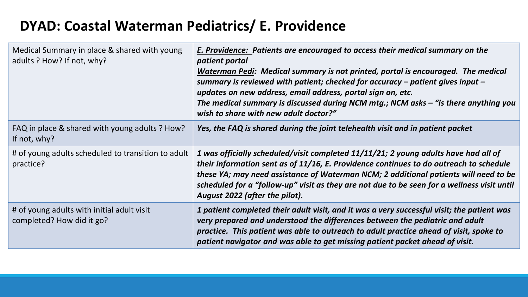#### **DYAD: Coastal Waterman Pediatrics/ E. Providence**

| Medical Summary in place & shared with young<br>adults ? How? If not, why? | E. Providence: Patients are encouraged to access their medical summary on the<br>patient portal<br>Waterman Pedi: Medical summary is not printed, portal is encouraged. The medical<br>summary is reviewed with patient; checked for accuracy $-$ patient gives input $-$<br>updates on new address, email address, portal sign on, etc.<br>The medical summary is discussed during NCM mtg.; NCM asks - "is there anything you<br>wish to share with new adult doctor?" |
|----------------------------------------------------------------------------|--------------------------------------------------------------------------------------------------------------------------------------------------------------------------------------------------------------------------------------------------------------------------------------------------------------------------------------------------------------------------------------------------------------------------------------------------------------------------|
| FAQ in place & shared with young adults? How?<br>If not, why?              | Yes, the FAQ is shared during the joint telehealth visit and in patient packet                                                                                                                                                                                                                                                                                                                                                                                           |
| # of young adults scheduled to transition to adult<br>practice?            | 1 was officially scheduled/visit completed 11/11/21; 2 young adults have had all of<br>their information sent as of 11/16, E. Providence continues to do outreach to schedule<br>these YA; may need assistance of Waterman NCM; 2 additional patients will need to be<br>scheduled for a "follow-up" visit as they are not due to be seen for a wellness visit until<br>August 2022 (after the pilot).                                                                   |
| # of young adults with initial adult visit<br>completed? How did it go?    | 1 patient completed their adult visit, and it was a very successful visit; the patient was<br>very prepared and understood the differences between the pediatric and adult<br>practice. This patient was able to outreach to adult practice ahead of visit, spoke to<br>patient navigator and was able to get missing patient packet ahead of visit.                                                                                                                     |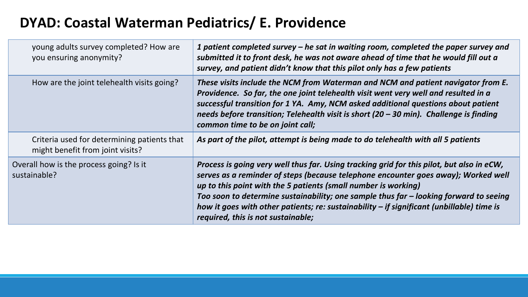### **DYAD: Coastal Waterman Pediatrics/ E. Providence**

| young adults survey completed? How are<br>you ensuring anonymity?               | 1 patient completed survey – he sat in waiting room, completed the paper survey and<br>submitted it to front desk, he was not aware ahead of time that he would fill out a<br>survey, and patient didn't know that this pilot only has a few patients                                                                                                                                                                                                                           |
|---------------------------------------------------------------------------------|---------------------------------------------------------------------------------------------------------------------------------------------------------------------------------------------------------------------------------------------------------------------------------------------------------------------------------------------------------------------------------------------------------------------------------------------------------------------------------|
| How are the joint telehealth visits going?                                      | These visits include the NCM from Waterman and NCM and patient navigator from E.<br>Providence. So far, the one joint telehealth visit went very well and resulted in a<br>successful transition for 1 YA. Amy, NCM asked additional questions about patient<br>needs before transition; Telehealth visit is short (20 - 30 min). Challenge is finding<br>common time to be on joint call;                                                                                      |
| Criteria used for determining patients that<br>might benefit from joint visits? | As part of the pilot, attempt is being made to do telehealth with all 5 patients                                                                                                                                                                                                                                                                                                                                                                                                |
| Overall how is the process going? Is it<br>sustainable?                         | Process is going very well thus far. Using tracking grid for this pilot, but also in eCW,<br>serves as a reminder of steps (because telephone encounter goes away); Worked well<br>up to this point with the 5 patients (small number is working)<br>Too soon to determine sustainability; one sample thus far - looking forward to seeing<br>how it goes with other patients; re: sustainability $-$ if significant (unbillable) time is<br>required, this is not sustainable; |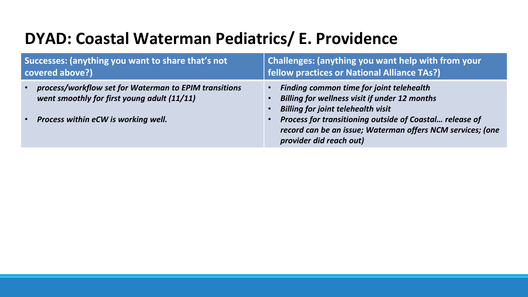## **DYAD: Coastal Waterman Pediatrics/ E. Providence**

| Successes: (anything you want to share that's not<br>covered above?)                                 | Challenges: (anything you want help with from your<br><b>fellow practices or National Alliance TAs?)</b>                                         |
|------------------------------------------------------------------------------------------------------|--------------------------------------------------------------------------------------------------------------------------------------------------|
| process/workflow set for Waterman to EPIM transitions<br>went smoothly for first young adult (11/11) | • Finding common time for joint telehealth<br><b>Billing for wellness visit if under 12 months</b><br><b>Billing for joint telehealth visit</b>  |
| <b>Process within eCW is working well.</b><br>$\sqrt{\bullet}$                                       | Process for transitioning outside of Coastal release of<br>record can be an issue; Waterman offers NCM services; (one<br>provider did reach out) |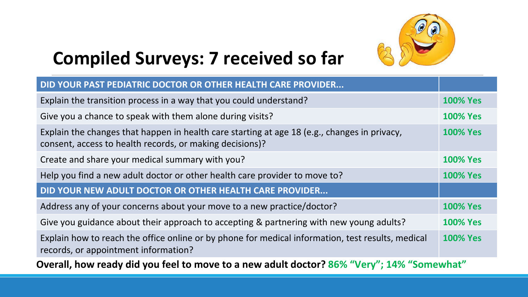

## **Compiled Surveys: 7 received so far**

| DID YOUR PAST PEDIATRIC DOCTOR OR OTHER HEALTH CARE PROVIDER                                                                                             |                 |  |  |  |  |  |  |
|----------------------------------------------------------------------------------------------------------------------------------------------------------|-----------------|--|--|--|--|--|--|
| Explain the transition process in a way that you could understand?                                                                                       | <b>100% Yes</b> |  |  |  |  |  |  |
| Give you a chance to speak with them alone during visits?                                                                                                | <b>100% Yes</b> |  |  |  |  |  |  |
| Explain the changes that happen in health care starting at age 18 (e.g., changes in privacy,<br>consent, access to health records, or making decisions)? | <b>100% Yes</b> |  |  |  |  |  |  |
| Create and share your medical summary with you?                                                                                                          | <b>100% Yes</b> |  |  |  |  |  |  |
| Help you find a new adult doctor or other health care provider to move to?                                                                               |                 |  |  |  |  |  |  |
| DID YOUR NEW ADULT DOCTOR OR OTHER HEALTH CARE PROVIDER                                                                                                  |                 |  |  |  |  |  |  |
| Address any of your concerns about your move to a new practice/doctor?                                                                                   | <b>100% Yes</b> |  |  |  |  |  |  |
| Give you guidance about their approach to accepting & partnering with new young adults?                                                                  | <b>100% Yes</b> |  |  |  |  |  |  |
| Explain how to reach the office online or by phone for medical information, test results, medical<br>records, or appointment information?                | <b>100% Yes</b> |  |  |  |  |  |  |
| Overall, how ready did you feel to move to a new adult doctor? 86% "Very"; 14% "Somewhat"                                                                |                 |  |  |  |  |  |  |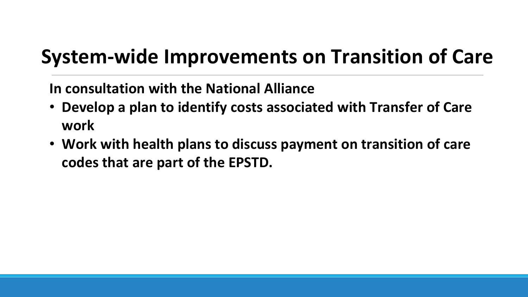## **System-wide Improvements on Transition of Care**

**In consultation with the National Alliance** 

- **Develop a plan to identify costs associated with Transfer of Care work**
- **Work with health plans to discuss payment on transition of care codes that are part of the EPSTD.**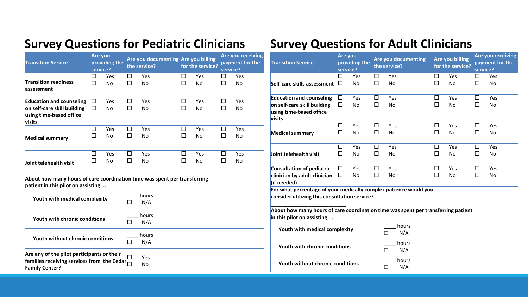#### **Survey Questions for Pediatric Clinicians**

| <b>Transition Service</b>                                                                                                           | Are you<br>service? | providing the    |                  | Are you documenting Are you billing<br>the service? |             | for the service? | service?         | Are you receiving<br>payment for the | <b>Transition Service</b>                                                            |
|-------------------------------------------------------------------------------------------------------------------------------------|---------------------|------------------|------------------|-----------------------------------------------------|-------------|------------------|------------------|--------------------------------------|--------------------------------------------------------------------------------------|
| <b>Transition readiness</b><br>assessment                                                                                           | □<br>□              | Yes<br>No        | □<br>$\Box$      | Yes<br><b>No</b>                                    | □<br>$\Box$ | Yes<br><b>No</b> | □<br>$\Box$      | Yes<br>No                            | Self-care skills asses                                                               |
| <b>Education and counseling</b><br>on self-care skill building<br>using time-based office<br>visits                                 | □<br>□              | Yes<br>No        | □<br>П           | Yes<br>No                                           | □<br>□      | Yes<br><b>No</b> | □<br>$\Box$      | Yes<br>No                            | <b>Education and coun</b><br>on self-care skill bui<br>using time-based of<br>visits |
| <b>Medical summary</b>                                                                                                              | □<br>$\Box$         | Yes<br>No        | $\Box$<br>$\Box$ | Yes<br><b>No</b>                                    | □<br>$\Box$ | Yes<br><b>No</b> | $\Box$<br>$\Box$ | Yes<br>No                            | <b>Medical summary</b>                                                               |
| Joint telehealth visit                                                                                                              | □<br>□              | Yes<br><b>No</b> | □<br>П           | Yes<br><b>No</b>                                    | □<br>□      | Yes<br>No        | □<br>$\Box$      | Yes<br>No                            | Joint telehealth visi<br>Consultation of ped                                         |
| About how many hours of care coordination time was spent per transferring<br>patient in this pilot on assisting                     |                     |                  |                  |                                                     |             |                  |                  |                                      | clinician by adult cli<br>(if needed)                                                |
| Youth with medical complexity                                                                                                       |                     |                  |                  | hours<br>N/A                                        |             |                  |                  |                                      | For what percentag<br>consider utilizing th                                          |
| Youth with chronic conditions                                                                                                       |                     |                  | $\Box$           | hours<br>N/A                                        |             |                  |                  |                                      | About how many ho<br>in this pilot on assis                                          |
| Youth without chronic conditions                                                                                                    |                     |                  | $\Box$           | hours<br>N/A                                        |             |                  |                  |                                      | Youth with med                                                                       |
| Are any of the pilot participants or their<br>families receiving services from the Cedar $\overline{\Box}$<br><b>Family Center?</b> |                     |                  | П                | Yes<br><b>No</b>                                    |             |                  |                  |                                      | Youth with chro<br>Youth without c                                                   |

#### **Survey Questions for Adult Clinicians**

| <b>Transition Service</b>                                                                                                                                                                              | Are you<br>service? | providing the |        | <b>Are you documenting</b><br>the service? |        | <b>Are you billing</b><br>for the service? |        | Are you receiving<br>payment for the<br>service? |
|--------------------------------------------------------------------------------------------------------------------------------------------------------------------------------------------------------|---------------------|---------------|--------|--------------------------------------------|--------|--------------------------------------------|--------|--------------------------------------------------|
|                                                                                                                                                                                                        | □                   | Yes           | □      | Yes                                        | $\Box$ | Yes                                        | □      | Yes                                              |
| Self-care skills assessment                                                                                                                                                                            | $\Box$              | No            | П      | <b>No</b>                                  | $\Box$ | No                                         | $\Box$ | No                                               |
| <b>Education and counseling</b>                                                                                                                                                                        | □                   | Yes           | □      | Yes                                        | $\Box$ | Yes                                        | $\Box$ | Yes                                              |
| on self-care skill building                                                                                                                                                                            | □                   | <b>No</b>     | □      | <b>No</b>                                  | □      | <b>No</b>                                  | □      | <b>No</b>                                        |
| using time-based office<br>visits                                                                                                                                                                      |                     |               |        |                                            |        |                                            |        |                                                  |
|                                                                                                                                                                                                        | □                   | Yes           | $\Box$ | Yes                                        | $\Box$ | Yes                                        | $\Box$ | Yes                                              |
| <b>Medical summary</b>                                                                                                                                                                                 | П                   | No            | □      | No                                         | П      | No                                         | П      | No                                               |
|                                                                                                                                                                                                        | □                   | Yes           | □      | Yes                                        | □      | Yes                                        | □      | Yes                                              |
| Joint telehealth visit                                                                                                                                                                                 | П                   | No            | □      | No                                         | □      | No                                         | □      | No                                               |
| Consultation of pediatric                                                                                                                                                                              | □                   | Yes           | □      | Yes                                        | □      | Yes                                        | □      | Yes                                              |
| clinician by adult clinician<br>(if needed)                                                                                                                                                            | □                   | <b>No</b>     | □      | <b>No</b>                                  | □      | <b>No</b>                                  | □      | <b>No</b>                                        |
| For what percentage of your medically complex patience would you<br>consider utilizing this consultation service?<br>About how many hours of care coordination time was spent per transferring patient |                     |               |        |                                            |        |                                            |        |                                                  |
| in this pilot on assisting                                                                                                                                                                             |                     |               |        |                                            |        |                                            |        |                                                  |
| Youth with medical complexity                                                                                                                                                                          |                     |               |        | hours<br>N/A<br>П                          |        |                                            |        |                                                  |
| Youth with chronic conditions                                                                                                                                                                          |                     |               |        | hours<br>N/A<br>П                          |        |                                            |        |                                                  |
| Youth without chronic conditions                                                                                                                                                                       |                     |               |        | hours<br>N/A<br>$\Box$                     |        |                                            |        |                                                  |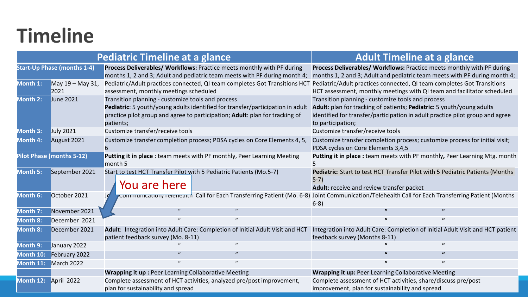## **Timeline**

|                 |                                    | <b>Pediatric Timeline at a glance</b>                                                                                                                                                                                            | <b>Adult Timeline at a glance</b> |  |                                                                                                                                                                                                                                  |                                                                                                                                                     |  |  |
|-----------------|------------------------------------|----------------------------------------------------------------------------------------------------------------------------------------------------------------------------------------------------------------------------------|-----------------------------------|--|----------------------------------------------------------------------------------------------------------------------------------------------------------------------------------------------------------------------------------|-----------------------------------------------------------------------------------------------------------------------------------------------------|--|--|
|                 | <b>Start-Up Phase (months 1-4)</b> | Process Deliverables/ Workflows: Practice meets monthly with PF during<br>months 1, 2 and 3; Adult and pediatric team meets with PF during month 4;                                                                              |                                   |  |                                                                                                                                                                                                                                  | Process Deliverables/ Workflows: Practice meets monthly with PF during<br>months 1, 2 and 3; Adult and pediatric team meets with PF during month 4; |  |  |
| Month 1:        | May 19 - May 31,<br>2021           | Pediatric/Adult practices connected, QI team completes Got Transitions HCT<br>assessment, monthly meetings scheduled                                                                                                             |                                   |  |                                                                                                                                                                                                                                  | Pediatric/Adult practices connected, QI team completes Got Transitions<br>HCT assessment, monthly meetings with QI team and facilitator scheduled   |  |  |
| Month 2:        | <b>June 2021</b>                   | Transition planning - customize tools and process<br>Pediatric: 5 youth/young adults identified for transfer/participation in adult<br>practice pilot group and agree to participation; Adult: plan for tracking of<br>patients; |                                   |  | Transition planning - customize tools and process<br>Adult: plan for tracking of patients; Pediatric: 5 youth/young adults<br>identified for transfer/participation in adult practice pilot group and agree<br>to participation; |                                                                                                                                                     |  |  |
| Month 3:        | <b>July 2021</b>                   | Customize transfer/receive tools                                                                                                                                                                                                 |                                   |  | Customize transfer/receive tools                                                                                                                                                                                                 |                                                                                                                                                     |  |  |
| Month 4:        | August 2021                        | Customize transfer completion process; PDSA cycles on Core Elements 4, 5,<br>6                                                                                                                                                   |                                   |  | PDSA cycles on Core Elements 3,4,5                                                                                                                                                                                               | Customize transfer completion process; customize process for initial visit;                                                                         |  |  |
|                 | Pilot Phase (months 5-12)          | Putting it in place : team meets with PF monthly, Peer Learning Meeting<br>month 5                                                                                                                                               |                                   |  |                                                                                                                                                                                                                                  | Putting it in place : team meets with PF monthly, Peer Learning Mtg. month                                                                          |  |  |
| Month 5:        | September 2021                     | Start to test HCT Transfer Pilot with 5 Pediatric Patients (Mo.5-7)<br>You are here                                                                                                                                              |                                   |  | $5-7)$<br>Adult: receive and review transfer packet                                                                                                                                                                              | Pediatric: Start to test HCT Transfer Pilot with 5 Pediatric Patients (Months                                                                       |  |  |
| Month 6:        | October 2021                       |                                                                                                                                                                                                                                  |                                   |  | $6-8)$                                                                                                                                                                                                                           | communication/relenearth Call for Each Transferring Patient (Mo. 6-8) Joint Communication/Telehealth Call for Each Transferring Patient (Months     |  |  |
| Month 7:        | November 2021                      | $\mathcal{U}$                                                                                                                                                                                                                    |                                   |  |                                                                                                                                                                                                                                  |                                                                                                                                                     |  |  |
| Month 8:        | December 2021                      | $\boldsymbol{u}$                                                                                                                                                                                                                 | $\mathbf{u}$                      |  | $\mathbf{u}$                                                                                                                                                                                                                     |                                                                                                                                                     |  |  |
| <b>Month 8:</b> | December 2021                      | Adult: Integration into Adult Care: Completion of Initial Adult Visit and HCT<br>patient feedback survey (Mo. 8-11)                                                                                                              |                                   |  | feedback survey (Months 8-11)                                                                                                                                                                                                    | Integration into Adult Care: Completion of Initial Adult Visit and HCT patient                                                                      |  |  |
| Month 9:        | January 2022                       |                                                                                                                                                                                                                                  |                                   |  |                                                                                                                                                                                                                                  |                                                                                                                                                     |  |  |
| Month 10:       | February 2022                      |                                                                                                                                                                                                                                  |                                   |  |                                                                                                                                                                                                                                  |                                                                                                                                                     |  |  |
| Month 11:       | March 2022                         | $\mathbf{u}$                                                                                                                                                                                                                     | $\mathbf{u}$                      |  | $\mathbf{u}$                                                                                                                                                                                                                     |                                                                                                                                                     |  |  |
|                 |                                    | <b>Wrapping it up: Peer Learning Collaborative Meeting</b>                                                                                                                                                                       |                                   |  | <b>Wrapping it up: Peer Learning Collaborative Meeting</b>                                                                                                                                                                       |                                                                                                                                                     |  |  |
| Month 12:       | April 2022                         | Complete assessment of HCT activities, analyzed pre/post improvement,<br>plan for sustainability and spread                                                                                                                      |                                   |  | improvement, plan for sustainability and spread                                                                                                                                                                                  | Complete assessment of HCT activities, share/discuss pre/post                                                                                       |  |  |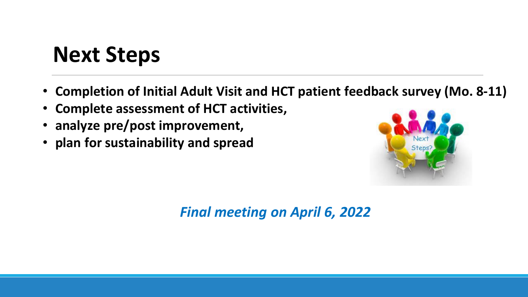## **Next Steps**

- **Completion of Initial Adult Visit and HCT patient feedback survey (Mo. 8-11)**
- **Complete assessment of HCT activities,**
- **analyze pre/post improvement,**
- **plan for sustainability and spread**



*Final meeting on April 6, 2022*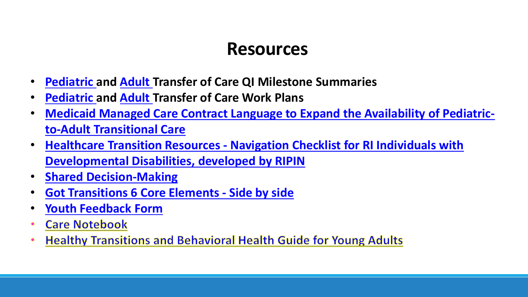## **Resources**

- **Pediatric and Adult Transfer of Care QI Milestone Summaries**
- **Pediatric and Adult Transfer of Care Work Plans**
- **[Medicaid Managed Care Contract Language to Expand the Availability of Pediatric](https://www.ctc-ri.org/sites/default/files/uploads/Medicaid+Managed+Care+Contract+Language+to+Expand+the+Availability+of+Pediatric-to-Adult+Transitional+Care.pdf)to-Adult Transitional Care**
- **Healthcare Transition Resources - Navigation Checklist for RI Individuals with [Developmental Disabilities, developed by RIPIN](https://www.ctc-ri.org/sites/default/files/uploads/Healthcare%20Transition%20Resources.docx)**
- **[Shared Decision-Making](https://www.ctc-ri.org/sites/default/files/uploads/1.%20Shared%20Decisions%20RQ%20ENG.docx)**
- **[Got Transitions 6 Core Elements -](https://www.ctc-ri.org/sites/default/files/uploads/GT-6CE-Side-by-Side.pdf) Side by side**
- **[Youth Feedback Form](https://www.ctc-ri.org/sites/default/files/uploads/Young%20Adult%20Feedback%20Survey%20-%20Custom%20Practice.docx)**
- **Care Notebook**
- **Healthy Transitions and Behavioral Health Guide for Young Adults**  $\bullet$